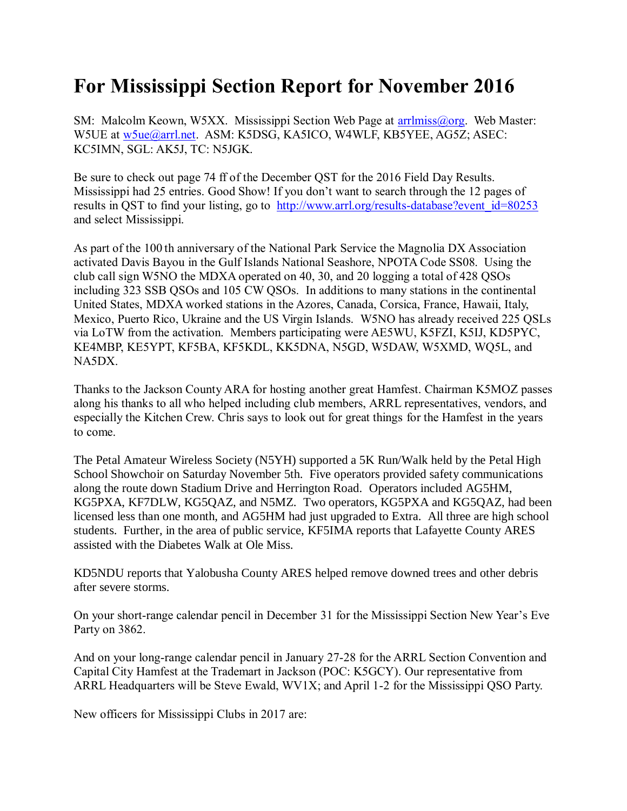## **For Mississippi Section Report for November 2016**

SM: Malcolm Keown, W5XX. Mississippi Section Web Page at [arrlmiss@org.](mailto:arrlmiss@org) Web Master: W5UE at w<sub>5ue</sub>@arrl.net. ASM: K5DSG, KA5ICO, W4WLF, KB5YEE, AG5Z; ASEC: KC5IMN, SGL: AK5J, TC: N5JGK.

Be sure to check out page 74 ff of the December QST for the 2016 Field Day Results. Mississippi had 25 entries. Good Show! If you don't want to search through the 12 pages of results in QST to find your listing, go to http://www.arrl.org/results-database?event id=80253 and select Mississippi.

As part of the 100 th anniversary of the National Park Service the Magnolia DX Association activated Davis Bayou in the Gulf Islands National Seashore, NPOTA Code SS08. Using the club call sign W5NO the MDXA operated on 40, 30, and 20 logging a total of 428 QSOs including 323 SSB QSOs and 105 CW QSOs. In additions to many stations in the continental United States, MDXA worked stations in the Azores, Canada, Corsica, France, Hawaii, Italy, Mexico, Puerto Rico, Ukraine and the US Virgin Islands. W5NO has already received 225 QSLs via LoTW from the activation. Members participating were AE5WU, K5FZI, K5IJ, KD5PYC, KE4MBP, KE5YPT, KF5BA, KF5KDL, KK5DNA, N5GD, W5DAW, W5XMD, WQ5L, and NA5DX.

Thanks to the Jackson County ARA for hosting another great Hamfest. Chairman K5MOZ passes along his thanks to all who helped including club members, ARRL representatives, vendors, and especially the Kitchen Crew. Chris says to look out for great things for the Hamfest in the years to come.

The Petal Amateur Wireless Society (N5YH) supported a 5K Run/Walk held by the Petal High School Showchoir on Saturday November 5th. Five operators provided safety communications along the route down Stadium Drive and Herrington Road. Operators included AG5HM, KG5PXA, KF7DLW, KG5QAZ, and N5MZ. Two operators, KG5PXA and KG5QAZ, had been licensed less than one month, and AG5HM had just upgraded to Extra. All three are high school students. Further, in the area of public service, KF5IMA reports that Lafayette County ARES assisted with the Diabetes Walk at Ole Miss.

KD5NDU reports that Yalobusha County ARES helped remove downed trees and other debris after severe storms.

On your short-range calendar pencil in December 31 for the Mississippi Section New Year's Eve Party on 3862.

And on your long-range calendar pencil in January 27-28 for the ARRL Section Convention and Capital City Hamfest at the Trademart in Jackson (POC: K5GCY). Our representative from ARRL Headquarters will be Steve Ewald, WV1X; and April 1-2 for the Mississippi QSO Party.

New officers for Mississippi Clubs in 2017 are: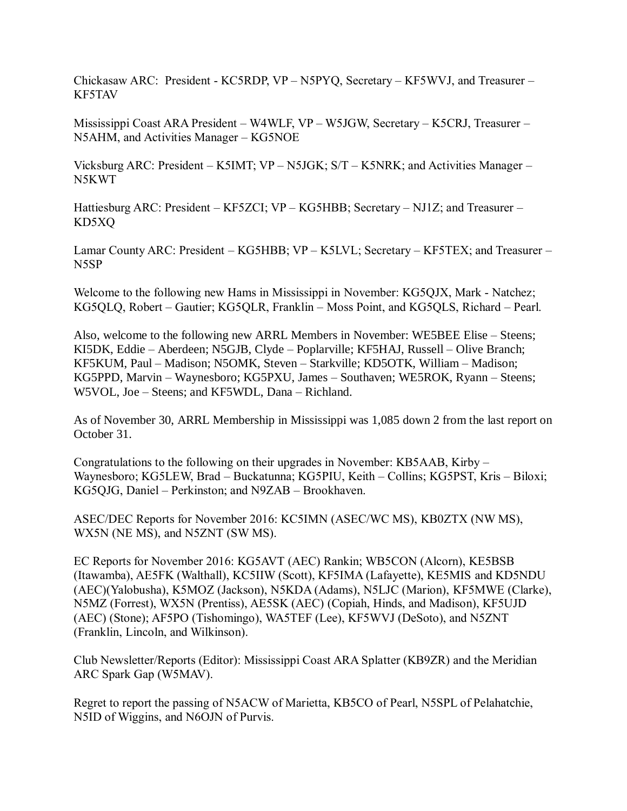Chickasaw ARC: President - KC5RDP, VP – N5PYQ, Secretary – KF5WVJ, and Treasurer – KF5TAV

Mississippi Coast ARA President – W4WLF, VP – W5JGW, Secretary – K5CRJ, Treasurer – N5AHM, and Activities Manager – KG5NOE

Vicksburg ARC: President – K5IMT; VP – N5JGK; S/T – K5NRK; and Activities Manager – N5KWT

Hattiesburg ARC: President – KF5ZCI; VP – KG5HBB; Secretary – NJ1Z; and Treasurer – KD5XQ

Lamar County ARC: President – KG5HBB; VP – K5LVL; Secretary – KF5TEX; and Treasurer – N5SP

Welcome to the following new Hams in Mississippi in November: KG5QJX, Mark - Natchez; KG5QLQ, Robert – Gautier; KG5QLR, Franklin – Moss Point, and KG5QLS, Richard – Pearl.

Also, welcome to the following new ARRL Members in November: WE5BEE Elise – Steens; KI5DK, Eddie – Aberdeen; N5GJB, Clyde – Poplarville; KF5HAJ, Russell – Olive Branch; KF5KUM, Paul – Madison; N5OMK, Steven – Starkville; KD5OTK, William – Madison; KG5PPD, Marvin – Waynesboro; KG5PXU, James – Southaven; WE5ROK, Ryann – Steens; W5VOL, Joe – Steens; and KF5WDL, Dana – Richland.

As of November 30, ARRL Membership in Mississippi was 1,085 down 2 from the last report on October 31.

Congratulations to the following on their upgrades in November: KB5AAB, Kirby – Waynesboro; KG5LEW, Brad – Buckatunna; KG5PIU, Keith – Collins; KG5PST, Kris – Biloxi; KG5QJG, Daniel – Perkinston; and N9ZAB – Brookhaven.

ASEC/DEC Reports for November 2016: KC5IMN (ASEC/WC MS), KB0ZTX (NW MS), WX5N (NE MS), and N5ZNT (SW MS).

EC Reports for November 2016: KG5AVT (AEC) Rankin; WB5CON (Alcorn), KE5BSB (Itawamba), AE5FK (Walthall), KC5IIW (Scott), KF5IMA (Lafayette), KE5MIS and KD5NDU (AEC)(Yalobusha), K5MOZ (Jackson), N5KDA (Adams), N5LJC (Marion), KF5MWE (Clarke), N5MZ (Forrest), WX5N (Prentiss), AE5SK (AEC) (Copiah, Hinds, and Madison), KF5UJD (AEC) (Stone); AF5PO (Tishomingo), WA5TEF (Lee), KF5WVJ (DeSoto), and N5ZNT (Franklin, Lincoln, and Wilkinson).

Club Newsletter/Reports (Editor): Mississippi Coast ARA Splatter (KB9ZR) and the Meridian ARC Spark Gap (W5MAV).

Regret to report the passing of N5ACW of Marietta, KB5CO of Pearl, N5SPL of Pelahatchie, N5ID of Wiggins, and N6OJN of Purvis.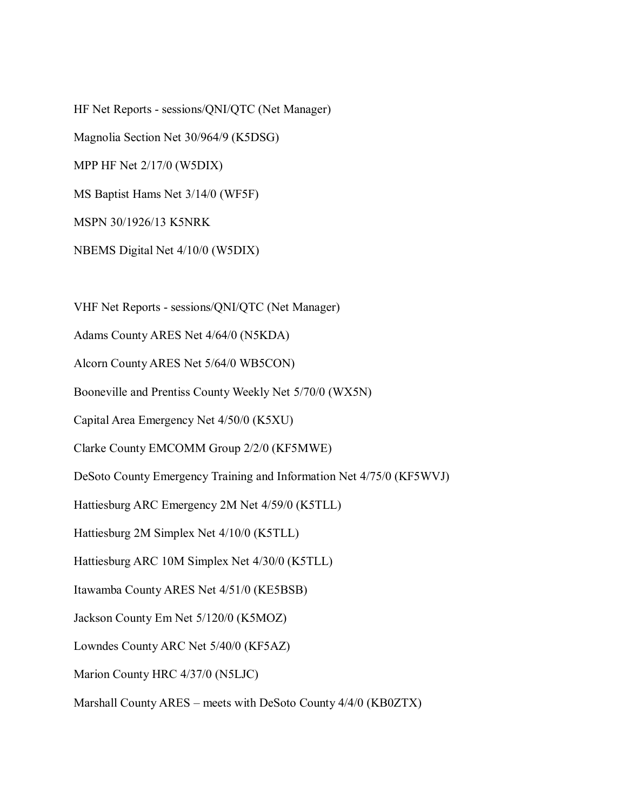HF Net Reports - sessions/QNI/QTC (Net Manager) Magnolia Section Net 30/964/9 (K5DSG) MPP HF Net 2/17/0 (W5DIX) MS Baptist Hams Net 3/14/0 (WF5F) MSPN 30/1926/13 K5NRK NBEMS Digital Net 4/10/0 (W5DIX)

VHF Net Reports - sessions/QNI/QTC (Net Manager)

Adams County ARES Net 4/64/0 (N5KDA)

Alcorn County ARES Net 5/64/0 WB5CON)

Booneville and Prentiss County Weekly Net 5/70/0 (WX5N)

Capital Area Emergency Net 4/50/0 (K5XU)

Clarke County EMCOMM Group 2/2/0 (KF5MWE)

DeSoto County Emergency Training and Information Net 4/75/0 (KF5WVJ)

Hattiesburg ARC Emergency 2M Net 4/59/0 (K5TLL)

Hattiesburg 2M Simplex Net 4/10/0 (K5TLL)

Hattiesburg ARC 10M Simplex Net 4/30/0 (K5TLL)

Itawamba County ARES Net 4/51/0 (KE5BSB)

Jackson County Em Net 5/120/0 (K5MOZ)

Lowndes County ARC Net 5/40/0 (KF5AZ)

Marion County HRC 4/37/0 (N5LJC)

Marshall County ARES – meets with DeSoto County 4/4/0 (KB0ZTX)